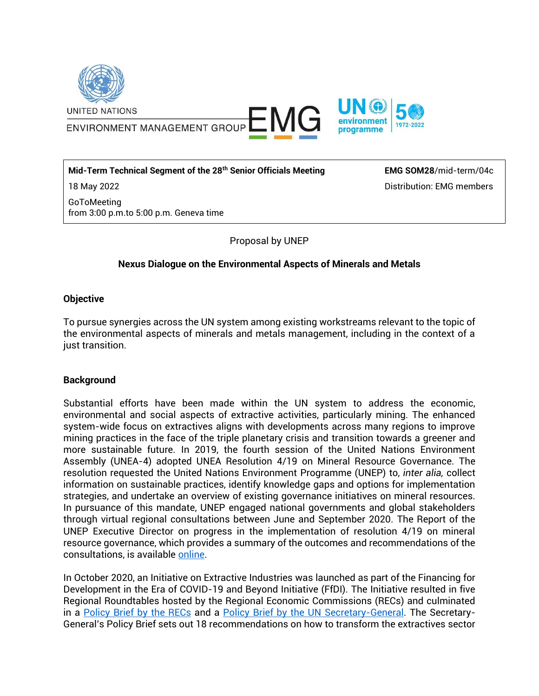

ENVIRONMENT MANAGEMENT GROUP ENVIRONMENT MANAGEMENT GROUP



#### **Mid-Term Technical Segment of the 28th Senior Officials Meeting**

18 May 2022

GoToMeeting from 3:00 p.m.to 5:00 p.m. Geneva time **EMG SOM28**/mid-term/04c Distribution: EMG members

Proposal by UNEP

# **Nexus Dialogue on the Environmental Aspects of Minerals and Metals**

## **Objective**

To pursue synergies across the UN system among existing workstreams relevant to the topic of the environmental aspects of minerals and metals management, including in the context of a just transition.

## **Background**

Substantial efforts have been made within the UN system to address the economic, environmental and social aspects of extractive activities, particularly mining. The enhanced system-wide focus on extractives aligns with developments across many regions to improve mining practices in the face of the triple planetary crisis and transition towards a greener and more sustainable future. In 2019, the fourth session of the United Nations Environment Assembly (UNEA-4) adopted UNEA Resolution 4/19 on Mineral Resource Governance. The resolution requested the United Nations Environment Programme (UNEP) to, *inter alia,* collect information on sustainable practices, identify knowledge gaps and options for implementation strategies, and undertake an overview of existing governance initiatives on mineral resources. In pursuance of this mandate, UNEP engaged national governments and global stakeholders through virtual regional consultations between June and September 2020. The Report of the UNEP Executive Director on progress in the implementation of resolution 4/19 on mineral resource governance, which provides a summary of the outcomes and recommendations of the consultations, is available [online.](https://www.greengrowthknowledge.org/sites/default/files/K2002669-E.pdf)

In October 2020, an Initiative on Extractive Industries was launched as part of the Financing for Development in the Era of COVID-19 and Beyond Initiative (FfDI). The Initiative resulted in five Regional Roundtables hosted by the Regional Economic Commissions (RECs) and culminated in a [Policy Brief by the RECs](https://www.un.org/sites/un2.un.org/files/final_regional_brief_on_extractive_industries.pdf) and a [Policy Brief by the UN Secretary-General.](https://www.un.org/sites/un2.un.org/files/sg_policy_brief_extractives.pdf) The Secretary-General's Policy Brief sets out 18 recommendations on how to transform the extractives sector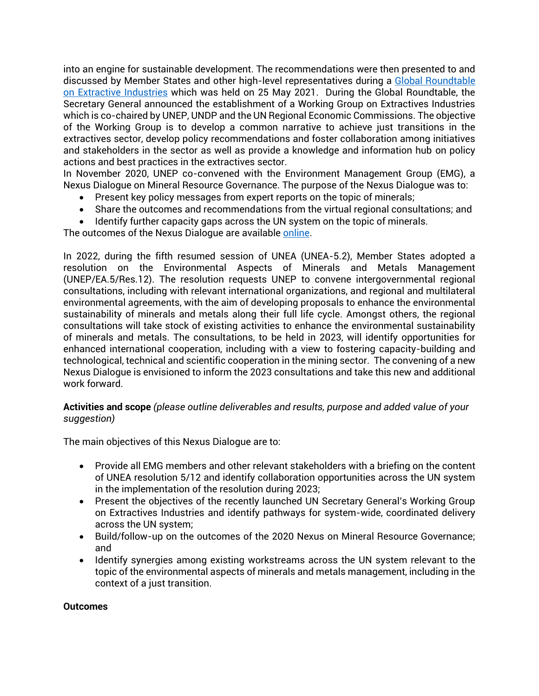into an engine for sustainable development. The recommendations were then presented to and discussed by Member States and other high-level representatives during a [Global Roundtable](https://www.un.org/en/coronavirus/financing-development/global-roundtable-on-extractive-industries)  [on Extractive Industries](https://www.un.org/en/coronavirus/financing-development/global-roundtable-on-extractive-industries) which was held on 25 May 2021. During the Global Roundtable, the Secretary General announced the establishment of a Working Group on Extractives Industries which is co-chaired by UNEP, UNDP and the UN Regional Economic Commissions. The objective of the Working Group is to develop a common narrative to achieve just transitions in the extractives sector, develop policy recommendations and foster collaboration among initiatives and stakeholders in the sector as well as provide a knowledge and information hub on policy actions and best practices in the extractives sector.

In November 2020, UNEP co-convened with the Environment Management Group (EMG), a Nexus Dialogue on Mineral Resource Governance. The purpose of the Nexus Dialogue was to:

- Present key policy messages from expert reports on the topic of minerals;
- Share the outcomes and recommendations from the virtual regional consultations; and
- Identify further capacity gaps across the UN system on the topic of minerals.

The outcomes of the Nexus Dialogue are available [online.](https://unemg.org/wp-content/uploads/2020/12/MineralResourceGovernance_ND_OutcomeReport.pdf)

In 2022, during the fifth resumed session of UNEA (UNEA-5.2), Member States adopted a resolution on the Environmental Aspects of Minerals and Metals Management (UNEP/EA.5/Res.12). The resolution requests UNEP to convene intergovernmental regional consultations, including with relevant international organizations, and regional and multilateral environmental agreements, with the aim of developing proposals to enhance the environmental sustainability of minerals and metals along their full life cycle. Amongst others, the regional consultations will take stock of existing activities to enhance the environmental sustainability of minerals and metals. The consultations, to be held in 2023, will identify opportunities for enhanced international cooperation, including with a view to fostering capacity-building and technological, technical and scientific cooperation in the mining sector. The convening of a new Nexus Dialogue is envisioned to inform the 2023 consultations and take this new and additional work forward.

# **Activities and scope** *(please outline deliverables and results, purpose and added value of your suggestion)*

The main objectives of this Nexus Dialogue are to:

- Provide all EMG members and other relevant stakeholders with a briefing on the content of UNEA resolution 5/12 and identify collaboration opportunities across the UN system in the implementation of the resolution during 2023;
- Present the objectives of the recently launched UN Secretary General's Working Group on Extractives Industries and identify pathways for system-wide, coordinated delivery across the UN system;
- Build/follow-up on the outcomes of the 2020 Nexus on Mineral Resource Governance; and
- Identify synergies among existing workstreams across the UN system relevant to the topic of the environmental aspects of minerals and metals management, including in the context of a just transition.

#### **Outcomes**